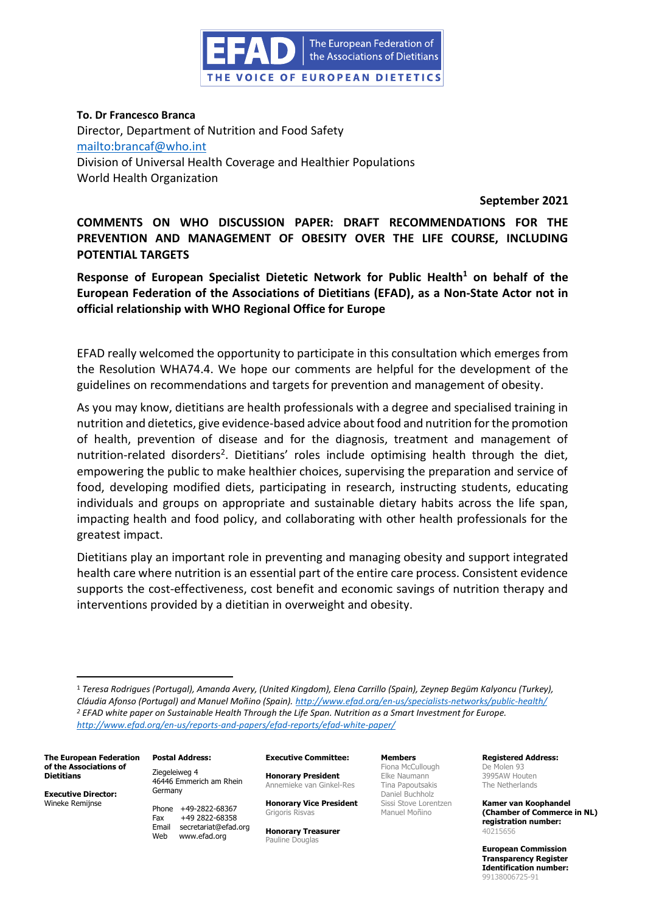

# **To. Dr Francesco Branca**

Director, Department of Nutrition and Food Safety <mailto:brancaf@who.int> Division of Universal Health Coverage and Healthier Populations World Health Organization

 **September 2021**

**COMMENTS ON WHO DISCUSSION PAPER: DRAFT RECOMMENDATIONS FOR THE PREVENTION AND MANAGEMENT OF OBESITY OVER THE LIFE COURSE, INCLUDING POTENTIAL TARGETS**

**Response of European Specialist Dietetic Network for Public Health<sup>1</sup> on behalf of the European Federation of the Associations of Dietitians (EFAD), as a Non-State Actor not in official relationship with WHO Regional Office for Europe** 

EFAD really welcomed the opportunity to participate in this consultation which emerges from the Resolution WHA74.4. We hope our comments are helpful for the development of the guidelines on recommendations and targets for prevention and management of obesity.

As you may know, dietitians are health professionals with a degree and specialised training in nutrition and dietetics, give evidence-based advice about food and nutrition for the promotion of health, prevention of disease and for the diagnosis, treatment and management of nutrition-related disorders<sup>2</sup>. Dietitians' roles include optimising health through the diet, empowering the public to make healthier choices, supervising the preparation and service of food, developing modified diets, participating in research, instructing students, educating individuals and groups on appropriate and sustainable dietary habits across the life span, impacting health and food policy, and collaborating with other health professionals for the greatest impact.

Dietitians play an important role in preventing and managing obesity and support integrated health care where nutrition is an essential part of the entire care process. Consistent evidence supports the cost-effectiveness, cost benefit and economic savings of nutrition therapy and interventions provided by a dietitian in overweight and obesity.

**The European Federation of the Associations of Dietitians**

**Executive Director:** Wineke Remijnse

Ziegeleiweg 4 46446 Emmerich am Rhein Germany

**Postal Address:**

Phone +49-2822-68367 Fax +49 2822-68358 Email secretariat@efad.org Web www.efad.org

**Executive Committee:**

**Honorary President** Annemieke van Ginkel-Res

**Honorary Vice President** Grigoris Risvas

**Honorary Treasurer** Pauline Douglas

**Members** Fiona McCullough Elke Naumann Tina Papoutsakis Daniel Buchholz Sissi Stove Lorentzen Manuel Moñino

**Registered Address:** De Molen 93 3995AW Houten

The Netherlands **Kamer van Koophandel (Chamber of Commerce in NL)** 

**European Commission Transparency Register Identification number:** 99138006725-91

**registration number:**

40215656

<sup>1</sup> *Teresa Rodrigues (Portugal), Amanda Avery, (United Kingdom), Elena Carrillo (Spain), Zeynep Begüm Kalyoncu (Turkey), Cláudia Afonso (Portugal) and Manuel Moñino (Spain). <http://www.efad.org/en-us/specialists-networks/public-health/> <sup>2</sup> EFAD white paper on Sustainable Health Through the Life Span. Nutrition as a Smart Investment for Europe. http://www.efad.org/en-us/reports-and-papers/efad-reports/efad-white-paper/*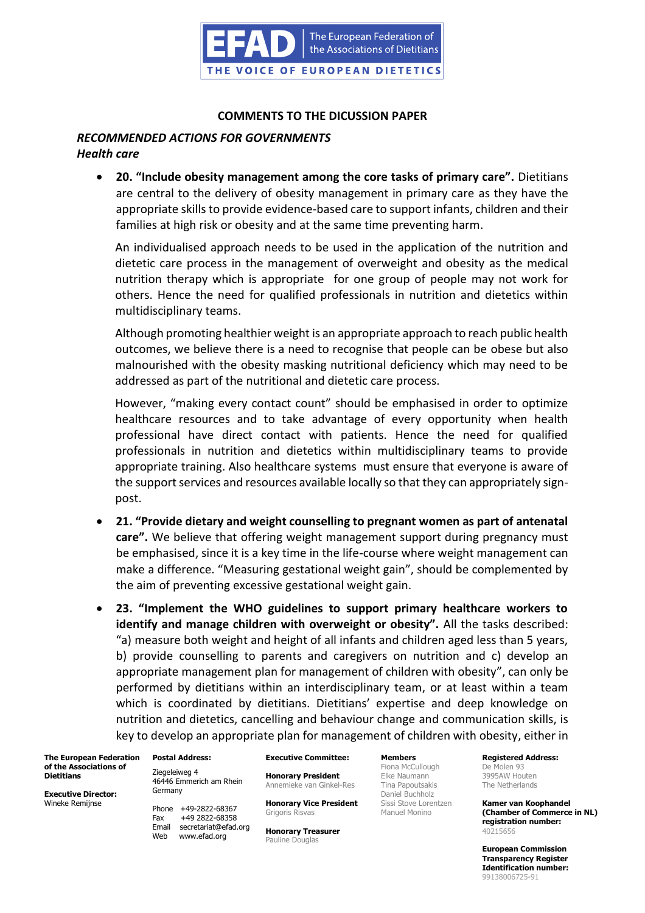

## **COMMENTS TO THE DICUSSION PAPER**

# *RECOMMENDED ACTIONS FOR GOVERNMENTS Health care*

• **20. "Include obesity management among the core tasks of primary care".** Dietitians are central to the delivery of obesity management in primary care as they have the appropriate skills to provide evidence-based care to support infants, children and their families at high risk or obesity and at the same time preventing harm.

An individualised approach needs to be used in the application of the nutrition and dietetic care process in the management of overweight and obesity as the medical nutrition therapy which is appropriate for one group of people may not work for others. Hence the need for qualified professionals in nutrition and dietetics within multidisciplinary teams.

Although promoting healthier weight is an appropriate approach to reach public health outcomes, we believe there is a need to recognise that people can be obese but also malnourished with the obesity masking nutritional deficiency which may need to be addressed as part of the nutritional and dietetic care process.

However, "making every contact count" should be emphasised in order to optimize healthcare resources and to take advantage of every opportunity when health professional have direct contact with patients. Hence the need for qualified professionals in nutrition and dietetics within multidisciplinary teams to provide appropriate training. Also healthcare systems must ensure that everyone is aware of the support services and resources available locally so that they can appropriately signpost.

- **21. "Provide dietary and weight counselling to pregnant women as part of antenatal care".** We believe that offering weight management support during pregnancy must be emphasised, since it is a key time in the life-course where weight management can make a difference. "Measuring gestational weight gain", should be complemented by the aim of preventing excessive gestational weight gain.
- **23. "Implement the WHO guidelines to support primary healthcare workers to identify and manage children with overweight or obesity".** All the tasks described: "a) measure both weight and height of all infants and children aged less than 5 years, b) provide counselling to parents and caregivers on nutrition and c) develop an appropriate management plan for management of children with obesity", can only be performed by dietitians within an interdisciplinary team, or at least within a team which is coordinated by dietitians. Dietitians' expertise and deep knowledge on nutrition and dietetics, cancelling and behaviour change and communication skills, is key to develop an appropriate plan for management of children with obesity, either in

**The European Federation of the Associations of Dietitians**

**Executive Director:** Wineke Remijnse

**Postal Address:** Ziegeleiweg 4 46446 Emmerich am Rhein Germany

Phone +49-2822-68367 Fax +49 2822-68358 Email secretariat@efad.org Web www.efad.org

**Executive Committee: Honorary President**

Annemieke van Ginkel-Res

**Honorary Vice President** Grigoris Risvas

**Honorary Treasurer** Pauline Douglas

**Members** Fiona McCullough Elke Naumann Tina Papoutsakis Daniel Buchholz Sissi Stove Lorentzen Manuel Monino

**Registered Address:**

De Molen 93 3995AW Houten The Netherlands

**Kamer van Koophandel (Chamber of Commerce in NL) registration number:** 40215656

**European Commission Transparency Register Identification number:** 99138006725-91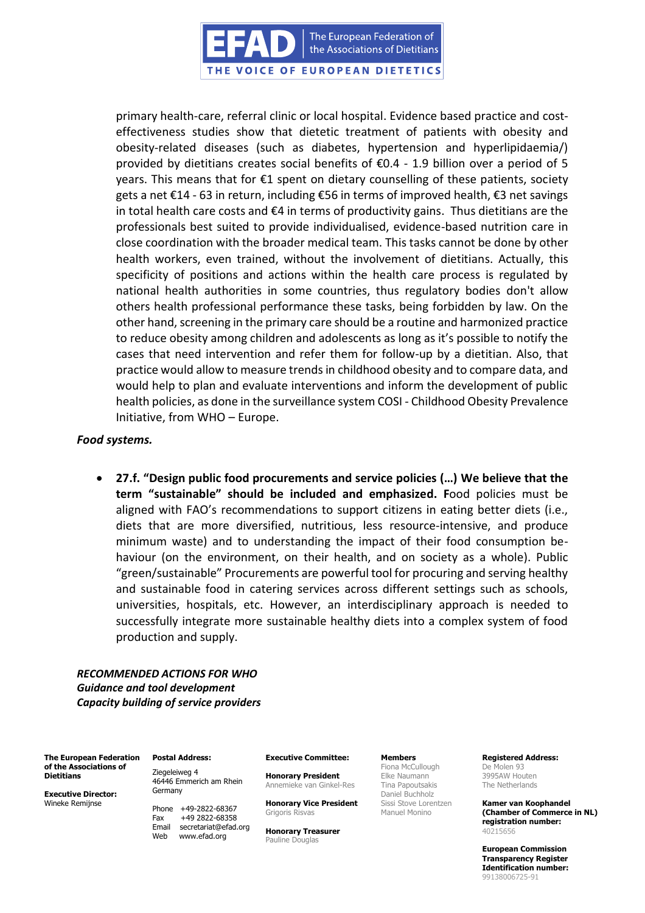The European Federation of the Associations of Dietitians

THE VOICE OF EUROPEAN DIETETICS

primary health-care, referral clinic or local hospital. Evidence based practice and costeffectiveness studies show that dietetic treatment of patients with obesity and obesity-related diseases (such as diabetes, hypertension and hyperlipidaemia/) provided by dietitians creates social benefits of  $\epsilon$ 0.4 - 1.9 billion over a period of 5 years. This means that for €1 spent on dietary counselling of these patients, society gets a net €14 - 63 in return, including €56 in terms of improved health, €3 net savings in total health care costs and €4 in terms of productivity gains. Thus dietitians are the professionals best suited to provide individualised, evidence-based nutrition care in close coordination with the broader medical team. This tasks cannot be done by other health workers, even trained, without the involvement of dietitians. Actually, this specificity of positions and actions within the health care process is regulated by national health authorities in some countries, thus regulatory bodies don't allow others health professional performance these tasks, being forbidden by law. On the other hand, screening in the primary care should be a routine and harmonized practice to reduce obesity among children and adolescents as long as it's possible to notify the cases that need intervention and refer them for follow-up by a dietitian. Also, that practice would allow to measure trends in childhood obesity and to compare data, and would help to plan and evaluate interventions and inform the development of public health policies, as done in the surveillance system COSI - Childhood Obesity Prevalence Initiative, from WHO – Europe.

#### *Food systems.*

• **27.f. "Design public food procurements and service policies (…) We believe that the term "sustainable" should be included and emphasized. F**ood policies must be aligned with FAO's recommendations to support citizens in eating better diets (i.e., diets that are more diversified, nutritious, less resource-intensive, and produce minimum waste) and to understanding the impact of their food consumption behaviour (on the environment, on their health, and on society as a whole). Public "green/sustainable" Procurements are powerful tool for procuring and serving healthy and sustainable food in catering services across different settings such as schools, universities, hospitals, etc. However, an interdisciplinary approach is needed to successfully integrate more sustainable healthy diets into a complex system of food production and supply.

*RECOMMENDED ACTIONS FOR WHO Guidance and tool development Capacity building of service providers*

**The European Federation of the Associations of Dietitians**

**Executive Director:** Wineke Remijnse

**Postal Address:**

Ziegeleiweg 4 46446 Emmerich am Rhein Germany

Phone +49-2822-68367 Fax +49 2822-68358 Email secretariat@efad.org Web www.efad.org

**Executive Committee:**

**Honorary President** Annemieke van Ginkel-Res

**Honorary Vice President** Grigoris Risvas

**Honorary Treasurer** Pauline Douglas

**Members**

Fiona McCullough Elke Naumann Tina Papoutsakis Daniel Buchholz Sissi Stove Lorentzen Manuel Monino

**Registered Address:**

De Molen 93 3995AW Houten The Netherlands

**Kamer van Koophandel (Chamber of Commerce in NL) registration number:** 40215656

**European Commission Transparency Register Identification number:** 99138006725-91